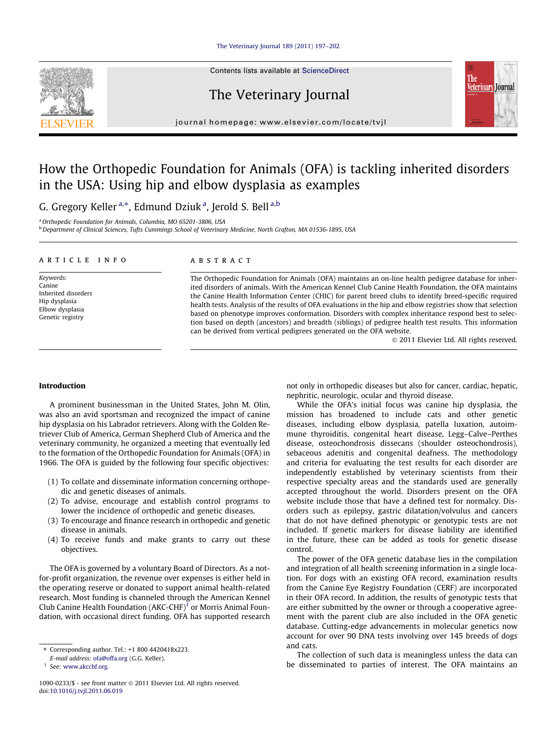## [The Veterinary Journal 189 \(2011\) 197–202](http://dx.doi.org/10.1016/j.tvjl.2011.06.019)



Contents lists available at [ScienceDirect](http://www.sciencedirect.com/science/journal/10900233)

# The Veterinary Journal

journal homepage: [www.elsevier.com/locate/tvjl](http://www.elsevier.com/locate/tvjl)

# How the Orthopedic Foundation for Animals (OFA) is tackling inherited disorders in the USA: Using hip and elbow dysplasia as examples

G. Gregory Keller<sup>a,\*</sup>, Edmund Dziuk<sup>a</sup>, Jerold S. Bell<sup>a,b</sup>

<sup>a</sup>Orthopedic Foundation for Animals, Columbia, MO 65201-3806, USA

<sup>b</sup> Department of Clinical Sciences, Tufts Cummings School of Veterinary Medicine, North Grafton, MA 01536-1895, USA

#### article info

Keywords: Canine Inherited disorders Hip dysplasia Elbow dysplasia Genetic registry

## ABSTRACT

The Orthopedic Foundation for Animals (OFA) maintains an on-line health pedigree database for inherited disorders of animals. With the American Kennel Club Canine Health Foundation, the OFA maintains the Canine Health Information Center (CHIC) for parent breed clubs to identify breed-specific required health tests. Analysis of the results of OFA evaluations in the hip and elbow registries show that selection based on phenotype improves conformation. Disorders with complex inheritance respond best to selection based on depth (ancestors) and breadth (siblings) of pedigree health test results. This information can be derived from vertical pedigrees generated on the OFA website.

- 2011 Elsevier Ltd. All rights reserved.

The

**Veterinary Journal** 

### Introduction

A prominent businessman in the United States, John M. Olin, was also an avid sportsman and recognized the impact of canine hip dysplasia on his Labrador retrievers. Along with the Golden Retriever Club of America, German Shepherd Club of America and the veterinary community, he organized a meeting that eventually led to the formation of the Orthopedic Foundation for Animals (OFA) in 1966. The OFA is guided by the following four specific objectives:

- (1) To collate and disseminate information concerning orthopedic and genetic diseases of animals.
- (2) To advise, encourage and establish control programs to lower the incidence of orthopedic and genetic diseases.
- (3) To encourage and finance research in orthopedic and genetic disease in animals.
- (4) To receive funds and make grants to carry out these objectives.

The OFA is governed by a voluntary Board of Directors. As a notfor-profit organization, the revenue over expenses is either held in the operating reserve or donated to support animal health-related research. Most funding is channeled through the American Kennel Club Canine Health Foundation  $(AKC-CHF)^1$  or Morris Animal Foundation, with occasional direct funding. OFA has supported research not only in orthopedic diseases but also for cancer, cardiac, hepatic, nephritic, neurologic, ocular and thyroid disease.

While the OFA's initial focus was canine hip dysplasia, the mission has broadened to include cats and other genetic diseases, including elbow dysplasia, patella luxation, autoimmune thyroiditis, congenital heart disease, Legg–Calve–Perthes disease, osteochondrosis dissecans (shoulder osteochondrosis), sebaceous adenitis and congenital deafness. The methodology and criteria for evaluating the test results for each disorder are independently established by veterinary scientists from their respective specialty areas and the standards used are generally accepted throughout the world. Disorders present on the OFA website include those that have a defined test for normalcy. Disorders such as epilepsy, gastric dilatation/volvulus and cancers that do not have defined phenotypic or genotypic tests are not included. If genetic markers for disease liability are identified in the future, these can be added as tools for genetic disease control.

The power of the OFA genetic database lies in the compilation and integration of all health screening information in a single location. For dogs with an existing OFA record, examination results from the Canine Eye Registry Foundation (CERF) are incorporated in their OFA record. In addition, the results of genotypic tests that are either submitted by the owner or through a cooperative agreement with the parent club are also included in the OFA genetic database. Cutting-edge advancements in molecular genetics now account for over 90 DNA tests involving over 145 breeds of dogs and cats.

The collection of such data is meaningless unless the data can be disseminated to parties of interest. The OFA maintains an

<sup>⇑</sup> Corresponding author. Tel.: +1 800 4420418x223.

E-mail address: [ofa@offa.org](mailto:ofa@offa.org) (G.G. Keller).

<sup>&</sup>lt;sup>1</sup> See: [www.akcchf.org.](http://www.akcchf.org)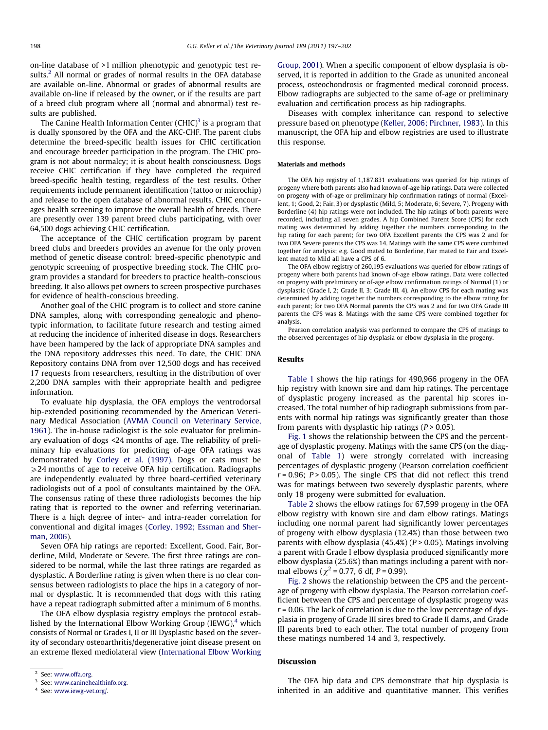on-line database of >1 million phenotypic and genotypic test results.<sup>2</sup> All normal or grades of normal results in the OFA database are available on-line. Abnormal or grades of abnormal results are available on-line if released by the owner, or if the results are part of a breed club program where all (normal and abnormal) test results are published.

The Canine Health Information Center  $(CHIC)^3$  is a program that is dually sponsored by the OFA and the AKC-CHF. The parent clubs determine the breed-specific health issues for CHIC certification and encourage breeder participation in the program. The CHIC program is not about normalcy; it is about health consciousness. Dogs receive CHIC certification if they have completed the required breed-specific health testing, regardless of the test results. Other requirements include permanent identification (tattoo or microchip) and release to the open database of abnormal results. CHIC encourages health screening to improve the overall health of breeds. There are presently over 139 parent breed clubs participating, with over 64,500 dogs achieving CHIC certification.

The acceptance of the CHIC certification program by parent breed clubs and breeders provides an avenue for the only proven method of genetic disease control: breed-specific phenotypic and genotypic screening of prospective breeding stock. The CHIC program provides a standard for breeders to practice health-conscious breeding. It also allows pet owners to screen prospective purchases for evidence of health-conscious breeding.

Another goal of the CHIC program is to collect and store canine DNA samples, along with corresponding genealogic and phenotypic information, to facilitate future research and testing aimed at reducing the incidence of inherited disease in dogs. Researchers have been hampered by the lack of appropriate DNA samples and the DNA repository addresses this need. To date, the CHIC DNA Repository contains DNA from over 12,500 dogs and has received 17 requests from researchers, resulting in the distribution of over 2,200 DNA samples with their appropriate health and pedigree information.

To evaluate hip dysplasia, the OFA employs the ventrodorsal hip-extended positioning recommended by the American Veterinary Medical Association ([AVMA Council on Veterinary Service,](#page-5-0) [1961\)](#page-5-0). The in-house radiologist is the sole evaluator for preliminary evaluation of dogs <24 months of age. The reliability of preliminary hip evaluations for predicting of-age OFA ratings was demonstrated by [Corley et al. \(1997\)](#page-5-0). Dogs or cats must be  $\geq$  24 months of age to receive OFA hip certification. Radiographs are independently evaluated by three board-certified veterinary radiologists out of a pool of consultants maintained by the OFA. The consensus rating of these three radiologists becomes the hip rating that is reported to the owner and referring veterinarian. There is a high degree of inter- and intra-reader correlation for conventional and digital images [\(Corley, 1992; Essman and Sher](#page-5-0)[man, 2006\)](#page-5-0).

Seven OFA hip ratings are reported: Excellent, Good, Fair, Borderline, Mild, Moderate or Severe. The first three ratings are considered to be normal, while the last three ratings are regarded as dysplastic. A Borderline rating is given when there is no clear consensus between radiologists to place the hips in a category of normal or dysplastic. It is recommended that dogs with this rating have a repeat radiograph submitted after a minimum of 6 months.

The OFA elbow dysplasia registry employs the protocol established by the International Elbow Working Group (IEWG), $4$  which consists of Normal or Grades I, II or III Dysplastic based on the severity of secondary osteoarthritis/degenerative joint disease present on an extreme flexed mediolateral view ([International Elbow Working](#page-5-0) [Group, 2001](#page-5-0)). When a specific component of elbow dysplasia is observed, it is reported in addition to the Grade as ununited anconeal process, osteochondrosis or fragmented medical coronoid process. Elbow radiographs are subjected to the same of-age or preliminary evaluation and certification process as hip radiographs.

Diseases with complex inheritance can respond to selective pressure based on phenotype [\(Keller, 2006; Pirchner, 1983\)](#page-5-0). In this manuscript, the OFA hip and elbow registries are used to illustrate this response.

#### Materials and methods

The OFA hip registry of 1,187,831 evaluations was queried for hip ratings of progeny where both parents also had known of-age hip ratings. Data were collected on progeny with of-age or preliminary hip confirmation ratings of normal (Excellent, 1; Good, 2; Fair, 3) or dysplastic (Mild, 5; Moderate, 6; Severe, 7). Progeny with Borderline (4) hip ratings were not included. The hip ratings of both parents were recorded, including all seven grades. A hip Combined Parent Score (CPS) for each mating was determined by adding together the numbers corresponding to the hip rating for each parent; for two OFA Excellent parents the CPS was 2 and for two OFA Severe parents the CPS was 14. Matings with the same CPS were combined together for analysis; e.g. Good mated to Borderline, Fair mated to Fair and Excellent mated to Mild all have a CPS of 6.

The OFA elbow registry of 260,195 evaluations was queried for elbow ratings of progeny where both parents had known of-age elbow ratings. Data were collected on progeny with preliminary or of-age elbow confirmation ratings of Normal (1) or dysplastic (Grade I, 2; Grade II, 3; Grade III, 4). An elbow CPS for each mating was determined by adding together the numbers corresponding to the elbow rating for each parent; for two OFA Normal parents the CPS was 2 and for two OFA Grade III parents the CPS was 8. Matings with the same CPS were combined together for analysis.

Pearson correlation analysis was performed to compare the CPS of matings to the observed percentages of hip dysplasia or elbow dysplasia in the progeny.

### Results

[Table 1](#page-2-0) shows the hip ratings for 490,966 progeny in the OFA hip registry with known sire and dam hip ratings. The percentage of dysplastic progeny increased as the parental hip scores increased. The total number of hip radiograph submissions from parents with normal hip ratings was significantly greater than those from parents with dysplastic hip ratings ( $P > 0.05$ ).

[Fig. 1](#page-2-0) shows the relationship between the CPS and the percentage of dysplastic progeny. Matings with the same CPS (on the diagonal of [Table 1](#page-2-0)) were strongly correlated with increasing percentages of dysplastic progeny (Pearson correlation coefficient  $r = 0.96$ ;  $P > 0.05$ ). The single CPS that did not reflect this trend was for matings between two severely dysplastic parents, where only 18 progeny were submitted for evaluation.

[Table 2](#page-3-0) shows the elbow ratings for 67,599 progeny in the OFA elbow registry with known sire and dam elbow ratings. Matings including one normal parent had significantly lower percentages of progeny with elbow dysplasia (12.4%) than those between two parents with elbow dysplasia  $(45.4%) (P > 0.05)$ . Matings involving a parent with Grade I elbow dysplasia produced significantly more elbow dysplasia (25.6%) than matings including a parent with normal elbows ( $\gamma^2$  = 0.77, 6 df, P = 0.99).

[Fig. 2](#page-3-0) shows the relationship between the CPS and the percentage of progeny with elbow dysplasia. The Pearson correlation coefficient between the CPS and percentage of dysplastic progeny was  $r = 0.06$ . The lack of correlation is due to the low percentage of dysplasia in progeny of Grade III sires bred to Grade II dams, and Grade III parents bred to each other. The total number of progeny from these matings numbered 14 and 3, respectively.

## Discussion

The OFA hip data and CPS demonstrate that hip dysplasia is inherited in an additive and quantitative manner. This verifies

<sup>&</sup>lt;sup>2</sup> See: [www.offa.org](http://www.offa.org).

<sup>&</sup>lt;sup>3</sup> See: [www.caninehealthinfo.org.](http://www.caninehealthinfo.org)

<sup>4</sup> See: [www.iewg-vet.org/](http://www.iewg-vet.org/).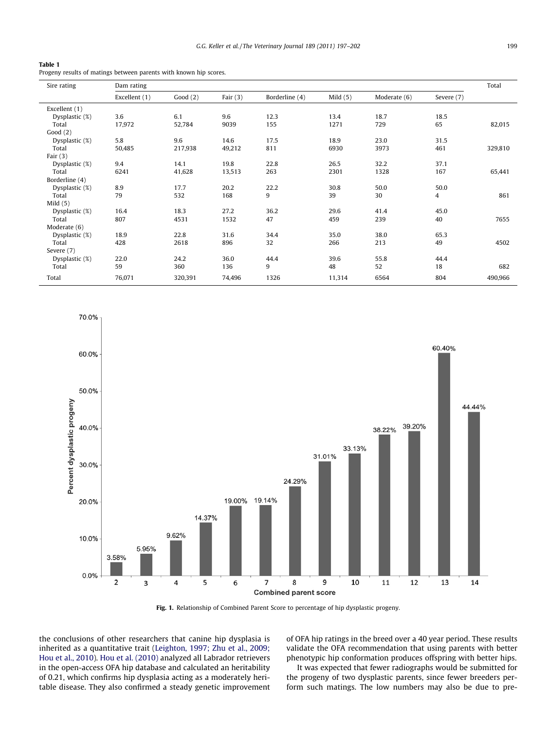<span id="page-2-0"></span>

| Table 1 |  |  |  |  |
|---------|--|--|--|--|
|---------|--|--|--|--|

| Progeny results of matings between parents with known hip scores. |  |  |  |  |
|-------------------------------------------------------------------|--|--|--|--|
|                                                                   |  |  |  |  |

| Sire rating    | Dam rating    |         |            |                |            | Total        |            |         |
|----------------|---------------|---------|------------|----------------|------------|--------------|------------|---------|
|                | Excellent (1) | Good(2) | Fair $(3)$ | Borderline (4) | Mild $(5)$ | Moderate (6) | Severe (7) |         |
| Excellent (1)  |               |         |            |                |            |              |            |         |
| Dysplastic (%) | 3.6           | 6.1     | 9.6        | 12.3           | 13.4       | 18.7         | 18.5       |         |
| Total          | 17,972        | 52,784  | 9039       | 155            | 1271       | 729          | 65         | 82,015  |
| Good(2)        |               |         |            |                |            |              |            |         |
| Dysplastic (%) | 5.8           | 9.6     | 14.6       | 17.5           | 18.9       | 23.0         | 31.5       |         |
| Total          | 50,485        | 217,938 | 49,212     | 811            | 6930       | 3973         | 461        | 329,810 |
| Fair $(3)$     |               |         |            |                |            |              |            |         |
| Dysplastic (%) | 9.4           | 14.1    | 19.8       | 22.8           | 26.5       | 32.2         | 37.1       |         |
| Total          | 6241          | 41,628  | 13,513     | 263            | 2301       | 1328         | 167        | 65,441  |
| Borderline (4) |               |         |            |                |            |              |            |         |
| Dysplastic (%) | 8.9           | 17.7    | 20.2       | 22.2           | 30.8       | 50.0         | 50.0       |         |
| Total          | 79            | 532     | 168        | 9              | 39         | 30           | 4          | 861     |
| Mild $(5)$     |               |         |            |                |            |              |            |         |
| Dysplastic (%) | 16.4          | 18.3    | 27.2       | 36.2           | 29.6       | 41.4         | 45.0       |         |
| Total          | 807           | 4531    | 1532       | 47             | 459        | 239          | 40         | 7655    |
| Moderate (6)   |               |         |            |                |            |              |            |         |
| Dysplastic (%) | 18.9          | 22.8    | 31.6       | 34.4           | 35.0       | 38.0         | 65.3       |         |
| Total          | 428           | 2618    | 896        | 32             | 266        | 213          | 49         | 4502    |
| Severe (7)     |               |         |            |                |            |              |            |         |
| Dysplastic (%) | 22.0          | 24.2    | 36.0       | 44.4           | 39.6       | 55.8         | 44.4       |         |
| Total          | 59            | 360     | 136        | 9              | 48         | 52           | 18         | 682     |
| Total          | 76,071        | 320,391 | 74,496     | 1326           | 11,314     | 6564         | 804        | 490,966 |



Fig. 1. Relationship of Combined Parent Score to percentage of hip dysplastic progeny.

the conclusions of other researchers that canine hip dysplasia is inherited as a quantitative trait ([Leighton, 1997; Zhu et al., 2009;](#page-5-0) [Hou et al., 2010\)](#page-5-0). [Hou et al. \(2010\)](#page-5-0) analyzed all Labrador retrievers in the open-access OFA hip database and calculated an heritability of 0.21, which confirms hip dysplasia acting as a moderately heritable disease. They also confirmed a steady genetic improvement of OFA hip ratings in the breed over a 40 year period. These results validate the OFA recommendation that using parents with better phenotypic hip conformation produces offspring with better hips.

It was expected that fewer radiographs would be submitted for the progeny of two dysplastic parents, since fewer breeders perform such matings. The low numbers may also be due to pre-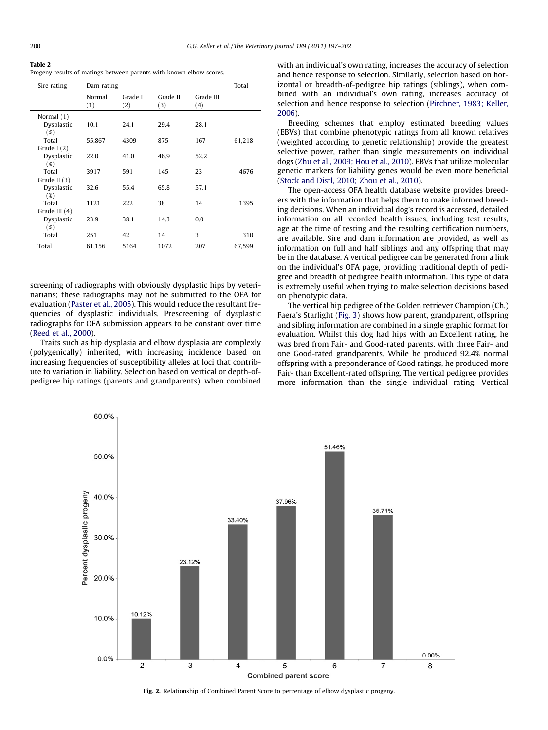<span id="page-3-0"></span>Table 2 Progeny results of matings between parents with known elbow scores.

| Sire rating                 |               | Dam rating     |                 |                  |        |  |
|-----------------------------|---------------|----------------|-----------------|------------------|--------|--|
|                             | Normal<br>(1) | Grade I<br>(2) | Grade II<br>(3) | Grade III<br>(4) |        |  |
| Normal (1)                  |               |                |                 |                  |        |  |
| Dysplastic<br>(%)           | 10.1          | 24.1           | 29.4            | 28.1             |        |  |
| Total                       | 55,867        | 4309           | 875             | 167              | 61,218 |  |
| Grade $I(2)$                |               |                |                 |                  |        |  |
| Dysplastic                  | 22.0          | 41.0           | 46.9            | 52.2             |        |  |
| $(\%)$                      |               |                |                 |                  |        |  |
| Total                       | 3917          | 591            | 145             | 23               | 4676   |  |
| Grade II (3)                |               |                |                 |                  |        |  |
| <b>Dysplastic</b><br>(%)    | 32.6          | 55.4           | 65.8            | 57.1             |        |  |
| Total                       | 1121          | 222            | 38              | 14               | 1395   |  |
| Grade III $(4)$             |               |                |                 |                  |        |  |
| <b>Dysplastic</b><br>$(\%)$ | 23.9          | 38.1           | 14.3            | 0.0              |        |  |
| Total                       | 251           | 42             | 14              | 3                | 310    |  |
| Total                       | 61,156        | 5164           | 1072            | 207              | 67,599 |  |

screening of radiographs with obviously dysplastic hips by veterinarians; these radiographs may not be submitted to the OFA for evaluation [\(Paster et al., 2005\)](#page-5-0). This would reduce the resultant frequencies of dysplastic individuals. Prescreening of dysplastic radiographs for OFA submission appears to be constant over time ([Reed et al., 2000\)](#page-5-0).

Traits such as hip dysplasia and elbow dysplasia are complexly (polygenically) inherited, with increasing incidence based on increasing frequencies of susceptibility alleles at loci that contribute to variation in liability. Selection based on vertical or depth-ofpedigree hip ratings (parents and grandparents), when combined with an individual's own rating, increases the accuracy of selection and hence response to selection. Similarly, selection based on horizontal or breadth-of-pedigree hip ratings (siblings), when combined with an individual's own rating, increases accuracy of selection and hence response to selection [\(Pirchner, 1983; Keller,](#page-5-0) [2006\)](#page-5-0).

Breeding schemes that employ estimated breeding values (EBVs) that combine phenotypic ratings from all known relatives (weighted according to genetic relationship) provide the greatest selective power, rather than single measurements on individual dogs [\(Zhu et al., 2009; Hou et al., 2010\)](#page-5-0). EBVs that utilize molecular genetic markers for liability genes would be even more beneficial ([Stock and Distl, 2010; Zhou et al., 2010\)](#page-5-0).

The open-access OFA health database website provides breeders with the information that helps them to make informed breeding decisions. When an individual dog's record is accessed, detailed information on all recorded health issues, including test results, age at the time of testing and the resulting certification numbers, are available. Sire and dam information are provided, as well as information on full and half siblings and any offspring that may be in the database. A vertical pedigree can be generated from a link on the individual's OFA page, providing traditional depth of pedigree and breadth of pedigree health information. This type of data is extremely useful when trying to make selection decisions based on phenotypic data.

The vertical hip pedigree of the Golden retriever Champion (Ch.) Faera's Starlight ([Fig. 3](#page-4-0)) shows how parent, grandparent, offspring and sibling information are combined in a single graphic format for evaluation. Whilst this dog had hips with an Excellent rating, he was bred from Fair- and Good-rated parents, with three Fair- and one Good-rated grandparents. While he produced 92.4% normal offspring with a preponderance of Good ratings, he produced more Fair- than Excellent-rated offspring. The vertical pedigree provides more information than the single individual rating. Vertical



Fig. 2. Relationship of Combined Parent Score to percentage of elbow dysplastic progeny.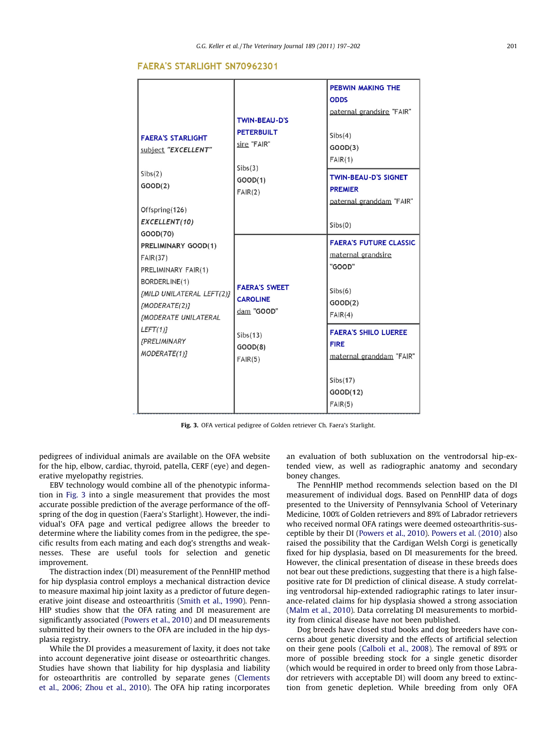## <span id="page-4-0"></span>**FAERA'S STARLIGHT SN70962301**

| <b>FAERA'S STARLIGHT</b><br>subject "EXCELLENT"                                                                                                                                                                                  | <b>TWIN-BEAU-D'S</b><br><b>PETERBUILT</b><br>sire "FAIR" | <b>PEBWIN MAKING THE</b><br><b>ODDS</b><br>paternal grandsire "FAIR"<br>Sibs(4)<br>GOOD(3)<br>FAIR(1)     |
|----------------------------------------------------------------------------------------------------------------------------------------------------------------------------------------------------------------------------------|----------------------------------------------------------|-----------------------------------------------------------------------------------------------------------|
| Sibs(2)<br>GOOD(2)<br>Offspring(126)<br>EXCELLENT(10)                                                                                                                                                                            | Sibs(3)<br>GOOD(1)<br>FAIR(2)                            | <b>TWIN-BEAU-D'S SIGNET</b><br><b>PREMIER</b><br>paternal granddam "FAIR"<br>Sibs(0)                      |
| GOOD(70)<br>PRELIMINARY GOOD(1)<br><b>FAIR(37)</b><br>PRELIMINARY FAIR(1)<br>BORDERLINE(1)<br><b>[MILD UNILATERAL LEFT(2)]</b><br>{MODERATE(2)}<br><b>IMODERATE UNILATERAL</b><br>LEFT(1)<br><b>{PRELIMINARY</b><br>MODERATE(1)} | <b>FAERA'S SWEET</b><br><b>CAROLINE</b><br>dam "GOOD"    | <b>FAERA'S FUTURE CLASSIC</b><br>maternal grandsire<br>"GOOD"<br>Sibs(6)<br>GOOD(2)<br>FAIR(4)            |
|                                                                                                                                                                                                                                  | Sibs(13)<br>GOOD(8)<br>FAIR(5)                           | <b>FAERA'S SHILO LUEREE</b><br><b>FIRE</b><br>maternal granddam "FAIR"<br>Sibs(17)<br>GOOD(12)<br>FAIR(5) |

Fig. 3. OFA vertical pedigree of Golden retriever Ch. Faera's Starlight.

pedigrees of individual animals are available on the OFA website for the hip, elbow, cardiac, thyroid, patella, CERF (eye) and degenerative myelopathy registries.

EBV technology would combine all of the phenotypic information in Fig. 3 into a single measurement that provides the most accurate possible prediction of the average performance of the offspring of the dog in question (Faera's Starlight). However, the individual's OFA page and vertical pedigree allows the breeder to determine where the liability comes from in the pedigree, the specific results from each mating and each dog's strengths and weaknesses. These are useful tools for selection and genetic improvement.

The distraction index (DI) measurement of the PennHIP method for hip dysplasia control employs a mechanical distraction device to measure maximal hip joint laxity as a predictor of future degenerative joint disease and osteoarthritis ([Smith et al., 1990\)](#page-5-0). Penn-HIP studies show that the OFA rating and DI measurement are significantly associated [\(Powers et al., 2010\)](#page-5-0) and DI measurements submitted by their owners to the OFA are included in the hip dysplasia registry.

While the DI provides a measurement of laxity, it does not take into account degenerative joint disease or osteoarthritic changes. Studies have shown that liability for hip dysplasia and liability for osteoarthritis are controlled by separate genes [\(Clements](#page-5-0) [et al., 2006; Zhou et al., 2010\)](#page-5-0). The OFA hip rating incorporates an evaluation of both subluxation on the ventrodorsal hip-extended view, as well as radiographic anatomy and secondary boney changes.

The PennHIP method recommends selection based on the DI measurement of individual dogs. Based on PennHIP data of dogs presented to the University of Pennsylvania School of Veterinary Medicine, 100% of Golden retrievers and 89% of Labrador retrievers who received normal OFA ratings were deemed osteoarthritis-susceptible by their DI [\(Powers et al., 2010\)](#page-5-0). [Powers et al. \(2010\)](#page-5-0) also raised the possibility that the Cardigan Welsh Corgi is genetically fixed for hip dysplasia, based on DI measurements for the breed. However, the clinical presentation of disease in these breeds does not bear out these predictions, suggesting that there is a high falsepositive rate for DI prediction of clinical disease. A study correlating ventrodorsal hip-extended radiographic ratings to later insurance-related claims for hip dysplasia showed a strong association ([Malm et al., 2010](#page-5-0)). Data correlating DI measurements to morbidity from clinical disease have not been published.

Dog breeds have closed stud books and dog breeders have concerns about genetic diversity and the effects of artificial selection on their gene pools ([Calboli et al., 2008](#page-5-0)). The removal of 89% or more of possible breeding stock for a single genetic disorder (which would be required in order to breed only from those Labrador retrievers with acceptable DI) will doom any breed to extinction from genetic depletion. While breeding from only OFA